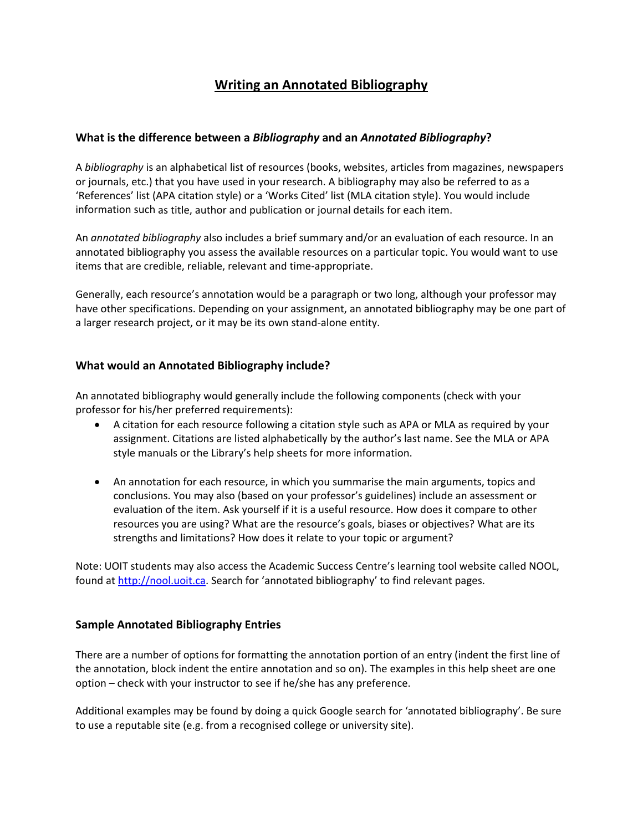# **Writing an Annotated Bibliography**

## **What is the difference between a** *Bibliography* **and an** *Annotated Bibliography***?**

A *bibliography* is an alphabetical list of resources (books, websites, articles from magazines, newspapers or journals, etc.) that you have used in your research. A bibliography may also be referred to as a 'References' list (APA citation style) or a 'Works Cited' list (MLA citation style). You would include information such as title, author and publication or journal details for each item.

An *annotated bibliography* also includes a brief summary and/or an evaluation of each resource. In an annotated bibliography you assess the available resources on a particular topic. You would want to use items that are credible, reliable, relevant and time‐appropriate.

Generally, each resource's annotation would be a paragraph or two long, although your professor may have other specifications. Depending on your assignment, an annotated bibliography may be one part of a larger research project, or it may be its own stand‐alone entity.

### **What would an Annotated Bibliography include?**

An annotated bibliography would generally include the following components (check with your professor for his/her preferred requirements):

- A citation for each resource following a citation style such as APA or MLA as required by your assignment. Citations are listed alphabetically by the author's last name. See the MLA or APA style manuals or the Library's help sheets for more information.
- An annotation for each resource, in which you summarise the main arguments, topics and conclusions. You may also (based on your professor's guidelines) include an assessment or evaluation of the item. Ask yourself if it is a useful resource. How does it compare to other resources you are using? What are the resource's goals, biases or objectives? What are its strengths and limitations? How does it relate to your topic or argument?

Note: UOIT students may also access the Academic Success Centre's learning tool website called NOOL, found at http://nool.uoit.ca. Search for 'annotated bibliography' to find relevant pages.

#### **Sample Annotated Bibliography Entries**

There are a number of options for formatting the annotation portion of an entry (indent the first line of the annotation, block indent the entire annotation and so on). The examples in this help sheet are one option – check with your instructor to see if he/she has any preference.

Additional examples may be found by doing a quick Google search for 'annotated bibliography'. Be sure to use a reputable site (e.g. from a recognised college or university site).